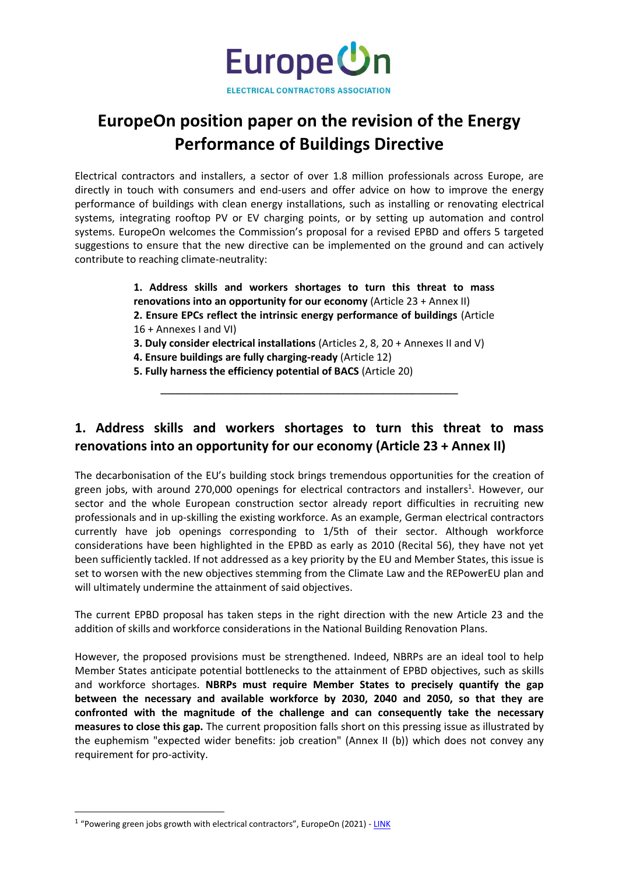

# **EuropeOn position paper on the revision of the Energy Performance of Buildings Directive**

Electrical contractors and installers, a sector of over 1.8 million professionals across Europe, are directly in touch with consumers and end-users and offer advice on how to improve the energy performance of buildings with clean energy installations, such as installing or renovating electrical systems, integrating rooftop PV or EV charging points, or by setting up automation and control systems. EuropeOn welcomes the Commission's proposal for a revised EPBD and offers 5 targeted suggestions to ensure that the new directive can be implemented on the ground and can actively contribute to reaching climate-neutrality:

> **1. Address skills and workers shortages to turn this threat to mass renovations into an opportunity for our economy** (Article 23 + Annex II) **2. Ensure EPCs reflect the intrinsic energy performance of buildings** (Article 16 + Annexes I and VI) **3. Duly consider electrical installations** (Articles 2, 8, 20 + Annexes II and V) **4. Ensure buildings are fully charging-ready** (Article 12)

**5. Fully harness the efficiency potential of BACS** (Article 20)

**¯¯¯¯¯¯¯¯¯¯¯¯¯¯¯¯¯¯¯¯¯¯¯¯¯¯¯¯¯¯¯¯¯¯¯¯¯¯¯¯¯¯¯¯¯¯¯¯¯¯¯¯**

## **1. Address skills and workers shortages to turn this threat to mass renovations into an opportunity for our economy (Article 23 + Annex II)**

The decarbonisation of the EU's building stock brings tremendous opportunities for the creation of green jobs, with around 270,000 openings for electrical contractors and installers<sup>1</sup>. However, our sector and the whole European construction sector already report difficulties in recruiting new professionals and in up-skilling the existing workforce. As an example, German electrical contractors currently have job openings corresponding to 1/5th of their sector. Although workforce considerations have been highlighted in the EPBD as early as 2010 (Recital 56), they have not yet been sufficiently tackled. If not addressed as a key priority by the EU and Member States, this issue is set to worsen with the new objectives stemming from the Climate Law and the REPowerEU plan and will ultimately undermine the attainment of said objectives.

The current EPBD proposal has taken steps in the right direction with the new Article 23 and the addition of skills and workforce considerations in the National Building Renovation Plans.

However, the proposed provisions must be strengthened. Indeed, NBRPs are an ideal tool to help Member States anticipate potential bottlenecks to the attainment of EPBD objectives, such as skills and workforce shortages. **NBRPs must require Member States to precisely quantify the gap between the necessary and available workforce by 2030, 2040 and 2050, so that they are confronted with the magnitude of the challenge and can consequently take the necessary measures to close this gap.** The current proposition falls short on this pressing issue as illustrated by the euphemism "expected wider benefits: job creation" (Annex II (b)) which does not convey any requirement for pro-activity.

<sup>&</sup>lt;sup>1</sup> "Powering green jobs growth with electrical contractors", EuropeOn (2021) - [LINK](https://europe-on.org/wp-content/uploads/2021/07/EuropeOn_Job-Potential-Study-2021_Public.pdf)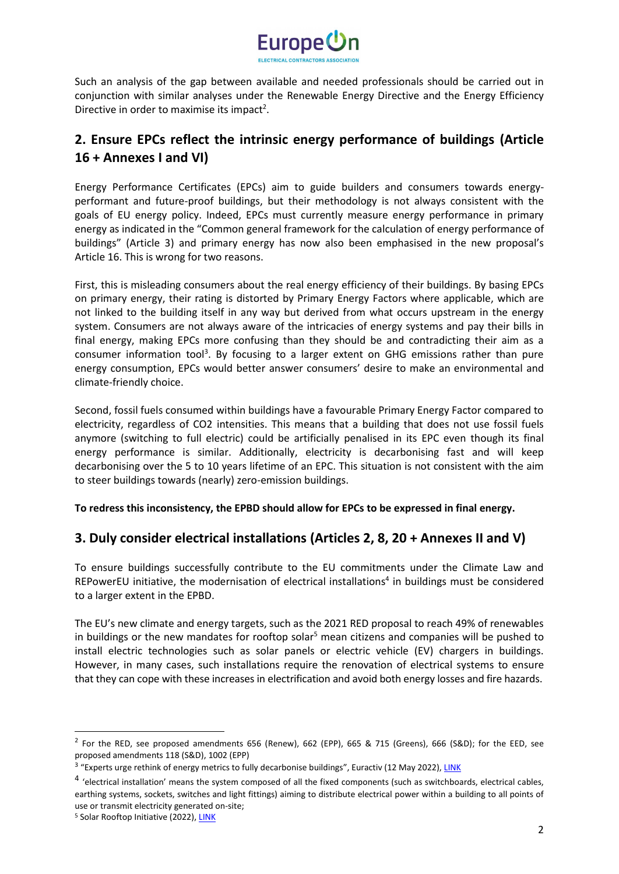

Such an analysis of the gap between available and needed professionals should be carried out in conjunction with similar analyses under the Renewable Energy Directive and the Energy Efficiency Directive in order to maximise its impact<sup>2</sup>.

## **2. Ensure EPCs reflect the intrinsic energy performance of buildings (Article 16 + Annexes I and VI)**

Energy Performance Certificates (EPCs) aim to guide builders and consumers towards energyperformant and future-proof buildings, but their methodology is not always consistent with the goals of EU energy policy. Indeed, EPCs must currently measure energy performance in primary energy as indicated in the "Common general framework for the calculation of energy performance of buildings" (Article 3) and primary energy has now also been emphasised in the new proposal's Article 16. This is wrong for two reasons.

First, this is misleading consumers about the real energy efficiency of their buildings. By basing EPCs on primary energy, their rating is distorted by Primary Energy Factors where applicable, which are not linked to the building itself in any way but derived from what occurs upstream in the energy system. Consumers are not always aware of the intricacies of energy systems and pay their bills in final energy, making EPCs more confusing than they should be and contradicting their aim as a consumer information tool<sup>3</sup>. By focusing to a larger extent on GHG emissions rather than pure energy consumption, EPCs would better answer consumers' desire to make an environmental and climate-friendly choice.

Second, fossil fuels consumed within buildings have a favourable Primary Energy Factor compared to electricity, regardless of CO2 intensities. This means that a building that does not use fossil fuels anymore (switching to full electric) could be artificially penalised in its EPC even though its final energy performance is similar. Additionally, electricity is decarbonising fast and will keep decarbonising over the 5 to 10 years lifetime of an EPC. This situation is not consistent with the aim to steer buildings towards (nearly) zero-emission buildings.

**To redress this inconsistency, the EPBD should allow for EPCs to be expressed in final energy.**

#### **3. Duly consider electrical installations (Articles 2, 8, 20 + Annexes II and V)**

To ensure buildings successfully contribute to the EU commitments under the Climate Law and REPowerEU initiative, the modernisation of electrical installations<sup>4</sup> in buildings must be considered to a larger extent in the EPBD.

The EU's new climate and energy targets, such as the 2021 RED proposal to reach 49% of renewables in buildings or the new mandates for rooftop solar<sup>5</sup> mean citizens and companies will be pushed to install electric technologies such as solar panels or electric vehicle (EV) chargers in buildings. However, in many cases, such installations require the renovation of electrical systems to ensure that they can cope with these increases in electrification and avoid both energy losses and fire hazards.

<sup>&</sup>lt;sup>2</sup> For the RED, see proposed amendments 656 (Renew), 662 (EPP), 665 & 715 (Greens), 666 (S&D); for the EED, see proposed amendments 118 (S&D), 1002 (EPP)

<sup>&</sup>lt;sup>3</sup> "Experts urge rethink of energy metrics to fully decarbonise buildings", Euractiv (12 May 2022)[, LINK](https://www.euractiv.com/section/energy-environment/news/experts-urge-rethink-of-energy-metrics-to-fully-decarbonise-buildings/)

<sup>&</sup>lt;sup>4</sup> 'electrical installation' means the system composed of all the fixed components (such as switchboards, electrical cables, earthing systems, sockets, switches and light fittings) aiming to distribute electrical power within a building to all points of use or transmit electricity generated on-site;

<sup>&</sup>lt;sup>5</sup> Solar Rooftop Initiative (2022)[, LINK](https://energy.ec.europa.eu/system/files/2022-05/COM_2022_221_2_EN_ACT_part1_v7.pdf)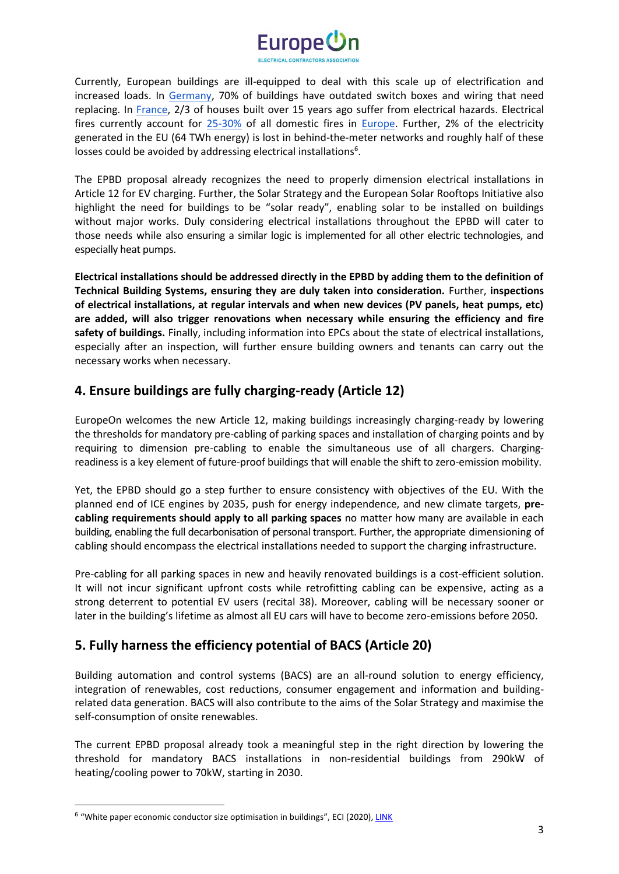

Currently, European buildings are ill-equipped to deal with this scale up of electrification and increased loads. I[n](https://www.zveh.de/) [Germany,](https://www.zveh.de/) 70% of buildings have outdated switch boxes and wiring that need replacing. In [France,](http://www.gresel.org/) 2/3 of houses built over 15 years ago suffer from electrical hazards. Electrical fires currently account fo[r](https://www.feedsnet.org/) [25-30%](https://www.feedsnet.org/) of all domestic fires i[n](https://www.feedsnet.org/) [Europe.](https://www.feedsnet.org/) Further, 2% of the electricity generated in the EU (64 TWh energy) is lost in behind-the-meter networks and roughly half of these losses could be avoided by addressing electrical installations<sup>6</sup>.

The EPBD proposal already recognizes the need to properly dimension electrical installations in Article 12 for EV charging. Further, the Solar Strategy and the European Solar Rooftops Initiative also highlight the need for buildings to be "solar ready", enabling solar to be installed on buildings without major works. Duly considering electrical installations throughout the EPBD will cater to those needs while also ensuring a similar logic is implemented for all other electric technologies, and especially heat pumps.

**Electrical installations should be addressed directly in the EPBD by adding them to the definition of Technical Building Systems, ensuring they are duly taken into consideration.** Further, **inspections of electrical installations, at regular intervals and when new devices (PV panels, heat pumps, etc) are added, will also trigger renovations when necessary while ensuring the efficiency and fire safety of buildings.** Finally, including information into EPCs about the state of electrical installations, especially after an inspection, will further ensure building owners and tenants can carry out the necessary works when necessary.

## **4. Ensure buildings are fully charging-ready (Article 12)**

EuropeOn welcomes the new Article 12, making buildings increasingly charging-ready by lowering the thresholds for mandatory pre-cabling of parking spaces and installation of charging points and by requiring to dimension pre-cabling to enable the simultaneous use of all chargers. Chargingreadiness is a key element of future-proof buildings that will enable the shift to zero-emission mobility.

Yet, the EPBD should go a step further to ensure consistency with objectives of the EU. With the planned end of ICE engines by 2035, push for energy independence, and new climate targets, **precabling requirements should apply to all parking spaces** no matter how many are available in each building, enabling the full decarbonisation of personal transport. Further, the appropriate dimensioning of cabling should encompass the electrical installations needed to support the charging infrastructure.

Pre-cabling for all parking spaces in new and heavily renovated buildings is a cost-efficient solution. It will not incur significant upfront costs while retrofitting cabling can be expensive, acting as a strong deterrent to potential EV users (recital 38). Moreover, cabling will be necessary sooner or later in the building's lifetime as almost all EU cars will have to become zero-emissions before 2050.

## **5. Fully harness the efficiency potential of BACS (Article 20)**

Building automation and control systems (BACS) are an all-round solution to energy efficiency, integration of renewables, cost reductions, consumer engagement and information and buildingrelated data generation. BACS will also contribute to the aims of the Solar Strategy and maximise the self-consumption of onsite renewables.

The current EPBD proposal already took a meaningful step in the right direction by lowering the threshold for mandatory BACS installations in non-residential buildings from 290kW of heating/cooling power to 70kW, starting in 2030.

<sup>&</sup>lt;sup>6</sup> "White paper economic conductor size optimisation in buildings", ECI (2020), *LINK*